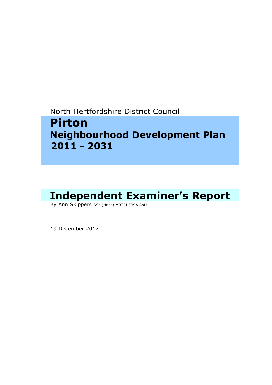North Hertfordshire District Council

# **Pirton Neighbourhood Development Plan 2011 - 2031**

# Independent Examiner's Report<br>By Ann Skippers BSc (Hons) MRTPI FRSA AoU

19 December 2017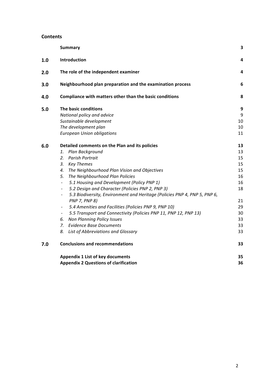#### **Contents**

|     | <b>Summary</b>                                                                                        | 3  |
|-----|-------------------------------------------------------------------------------------------------------|----|
| 1.0 | Introduction                                                                                          | 4  |
| 2.0 | The role of the independent examiner                                                                  | 4  |
| 3.0 | Neighbourhood plan preparation and the examination process                                            | 6  |
| 4.0 | Compliance with matters other than the basic conditions                                               | 8  |
| 5.0 | The basic conditions                                                                                  | 9  |
|     | National policy and advice                                                                            | 9  |
|     | Sustainable development                                                                               | 10 |
|     | The development plan                                                                                  | 10 |
|     | <b>European Union obligations</b>                                                                     | 11 |
| 6.0 | Detailed comments on the Plan and its policies                                                        | 13 |
|     | Plan Background<br>1.                                                                                 | 13 |
|     | Parish Portrait<br>2.                                                                                 | 15 |
|     | 3.<br><b>Key Themes</b>                                                                               | 15 |
|     | The Neighbourhood Plan Vision and Objectives<br>4.                                                    | 15 |
|     | 5.<br>The Neighbourhood Plan Policies                                                                 | 16 |
|     | 5.1 Housing and Development (Policy PNP 1)<br>$\blacksquare$                                          | 16 |
|     | 5.2 Design and Character (Policies PNP 2, PNP 3)<br>$\qquad \qquad \blacksquare$                      | 18 |
|     | 5.3 Biodiversity, Environment and Heritage (Policies PNP 4, PNP 5, PNP 6,<br>$\overline{\phantom{a}}$ |    |
|     | <b>PNP 7, PNP 8)</b>                                                                                  | 21 |
|     | 5.4 Amenities and Facilities (Policies PNP 9, PNP 10)<br>$\overline{\phantom{a}}$                     | 29 |
|     | 5.5 Transport and Connectivity (Policies PNP 11, PNP 12, PNP 13)<br>$\blacksquare$                    | 30 |
|     | <b>Non Planning Policy Issues</b><br>6.                                                               | 33 |
|     | <b>Evidence Base Documents</b><br>7.                                                                  | 33 |
|     | 8.<br>List of Abbreviations and Glossary                                                              | 33 |
| 7.0 | <b>Conclusions and recommendations</b>                                                                | 33 |
|     | <b>Appendix 1 List of key documents</b>                                                               | 35 |
|     | <b>Appendix 2 Questions of clarification</b>                                                          | 36 |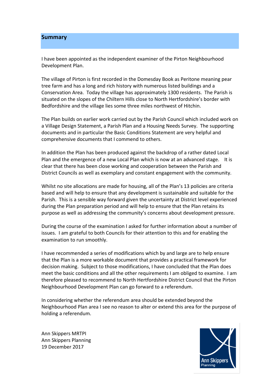#### **Summary**

I have been appointed as the independent examiner of the Pirton Neighbourhood Development Plan.

The village of Pirton is first recorded in the Domesday Book as Peritone meaning pear tree farm and has a long and rich history with numerous listed buildings and a Conservation Area. Today the village has approximately 1300 residents. The Parish is situated on the slopes of the Chiltern Hills close to North Hertfordshire's border with Bedfordshire and the village lies some three miles northwest of Hitchin.

The Plan builds on earlier work carried out by the Parish Council which included work on a Village Design Statement, a Parish Plan and a Housing Needs Survey. The supporting documents and in particular the Basic Conditions Statement are very helpful and comprehensive documents that I commend to others.

In addition the Plan has been produced against the backdrop of a rather dated Local Plan and the emergence of a new Local Plan which is now at an advanced stage. It is clear that there has been close working and cooperation between the Parish and District Councils as well as exemplary and constant engagement with the community.

Whilst no site allocations are made for housing, all of the Plan's 13 policies are criteria based and will help to ensure that any development is sustainable and suitable for the Parish. This is a sensible way forward given the uncertainty at District level experienced during the Plan preparation period and will help to ensure that the Plan retains its purpose as well as addressing the community's concerns about development pressure.

During the course of the examination I asked for further information about a number of issues. I am grateful to both Councils for their attention to this and for enabling the examination to run smoothly.

I have recommended a series of modifications which by and large are to help ensure that the Plan is a more workable document that provides a practical framework for decision making. Subject to those modifications, I have concluded that the Plan does meet the basic conditions and all the other requirements I am obliged to examine. I am therefore pleased to recommend to North Hertfordshire District Council that the Pirton Neighbourhood Development Plan can go forward to a referendum.

In considering whether the referendum area should be extended beyond the Neighbourhood Plan area I see no reason to alter or extend this area for the purpose of holding a referendum.

Ann Skippers MRTPI Ann Skippers Planning 19 December 2017

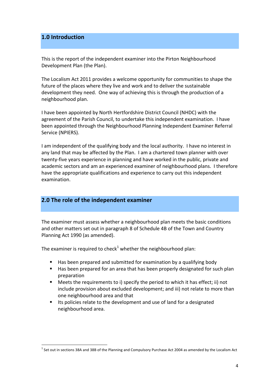# **1.0 Introduction**

This is the report of the independent examiner into the Pirton Neighbourhood Development Plan (the Plan).

The Localism Act 2011 provides a welcome opportunity for communities to shape the future of the places where they live and work and to deliver the sustainable development they need. One way of achieving this is through the production of a neighbourhood plan. 

I have been appointed by North Hertfordshire District Council (NHDC) with the agreement of the Parish Council, to undertake this independent examination. I have been appointed through the Neighbourhood Planning Independent Examiner Referral Service (NPIERS).

I am independent of the qualifying body and the local authority. I have no interest in any land that may be affected by the Plan. I am a chartered town planner with over twenty-five years experience in planning and have worked in the public, private and academic sectors and am an experienced examiner of neighbourhood plans. I therefore have the appropriate qualifications and experience to carry out this independent examination. 

# **2.0** The role of the independent examiner

The examiner must assess whether a neighbourhood plan meets the basic conditions and other matters set out in paragraph 8 of Schedule 4B of the Town and Country Planning Act 1990 (as amended).

The examiner is required to check<sup>1</sup> whether the neighbourhood plan:

- Has been prepared and submitted for examination by a qualifying body
- Has been prepared for an area that has been properly designated for such plan preparation
- **EXECT:** Meets the requirements to i) specify the period to which it has effect; ii) not include provision about excluded development; and iii) not relate to more than one neighbourhood area and that
- Its policies relate to the development and use of land for a designated neighbourhood area.

 $^1$  Set out in sections 38A and 38B of the Planning and Compulsory Purchase Act 2004 as amended by the Localism Act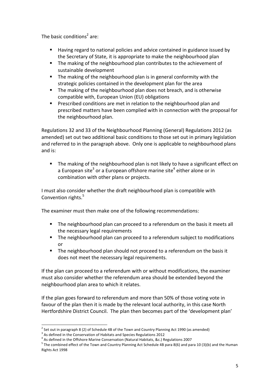The basic conditions<sup>2</sup> are:

- Having regard to national policies and advice contained in guidance issued by the Secretary of State, it is appropriate to make the neighbourhood plan
- The making of the neighbourhood plan contributes to the achievement of sustainable development
- $\blacksquare$  The making of the neighbourhood plan is in general conformity with the strategic policies contained in the development plan for the area
- The making of the neighbourhood plan does not breach, and is otherwise compatible with, European Union (EU) obligations
- Prescribed conditions are met in relation to the neighbourhood plan and prescribed matters have been complied with in connection with the proposal for the neighbourhood plan.

Regulations 32 and 33 of the Neighbourhood Planning (General) Regulations 2012 (as amended) set out two additional basic conditions to those set out in primary legislation and referred to in the paragraph above. Only one is applicable to neighbourhood plans and  $i$ s:

**•** The making of the neighbourhood plan is not likely to have a significant effect on a European site<sup>3</sup> or a European offshore marine site<sup>4</sup> either alone or in combination with other plans or projects.

I must also consider whether the draft neighbourhood plan is compatible with Convention rights.<sup>5</sup>

The examiner must then make one of the following recommendations:

- **•** The neighbourhood plan can proceed to a referendum on the basis it meets all the necessary legal requirements
- The neighbourhood plan can proceed to a referendum subject to modifications or
- **•** The neighbourhood plan should not proceed to a referendum on the basis it does not meet the necessary legal requirements.

If the plan can proceed to a referendum with or without modifications, the examiner must also consider whether the referendum area should be extended bevond the neighbourhood plan area to which it relates.

If the plan goes forward to referendum and more than 50% of those voting vote in favour of the plan then it is made by the relevant local authority, in this case North Hertfordshire District Council. The plan then becomes part of the 'development plan'

 $2$  Set out in paragraph 8 (2) of Schedule 4B of the Town and Country Planning Act 1990 (as amended)

 $3$  As defined in the Conservation of Habitats and Species Regulations 2012

 $4$  As defined in the Offshore Marine Conservation (Natural Habitats, &c.) Regulations 2007

 $^5$  The combined effect of the Town and Country Planning Act Schedule 4B para 8(6) and para 10 (3)(b) and the Human Rights Act 1998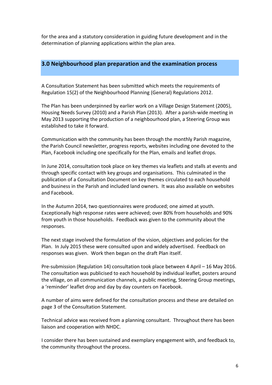for the area and a statutory consideration in guiding future development and in the determination of planning applications within the plan area.

# **3.0 Neighbourhood plan preparation and the examination process**

A Consultation Statement has been submitted which meets the requirements of Regulation 15(2) of the Neighbourhood Planning (General) Regulations 2012.

The Plan has been underpinned by earlier work on a Village Design Statement (2005), Housing Needs Survey (2010) and a Parish Plan (2013). After a parish-wide meeting in May 2013 supporting the production of a neighbourhood plan, a Steering Group was established to take it forward.

Communication with the community has been through the monthly Parish magazine, the Parish Council newsletter, progress reports, websites including one devoted to the Plan, Facebook including one specifically for the Plan, emails and leaflet drops.

In June 2014, consultation took place on key themes via leaflets and stalls at events and through specific contact with key groups and organisations. This culminated in the publication of a Consultation Document on key themes circulated to each household and business in the Parish and included land owners. It was also available on websites and Facebook.

In the Autumn 2014, two questionnaires were produced; one aimed at youth. Exceptionally high response rates were achieved; over 80% from households and 90% from youth in those households. Feedback was given to the community about the responses.

The next stage involved the formulation of the vision, objectives and policies for the Plan. In July 2015 these were consulted upon and widely advertised. Feedback on responses was given. Work then began on the draft Plan itself.

Pre-submission (Regulation 14) consultation took place between 4 April  $-$  16 May 2016. The consultation was publicised to each household by individual leaflet, posters around the village, on all communication channels, a public meeting, Steering Group meetings, a 'reminder' leaflet drop and day by day counters on Facebook.

A number of aims were defined for the consultation process and these are detailed on page 3 of the Consultation Statement.

Technical advice was received from a planning consultant. Throughout there has been liaison and cooperation with NHDC.

I consider there has been sustained and exemplary engagement with, and feedback to, the community throughout the process.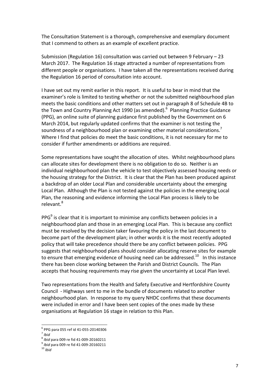The Consultation Statement is a thorough, comprehensive and exemplary document that I commend to others as an example of excellent practice.

Submission (Regulation 16) consultation was carried out between 9 February  $- 23$ March 2017. The Regulation 16 stage attracted a number of representations from different people or organisations. I have taken all the representations received during the Regulation 16 period of consultation into account.

I have set out my remit earlier in this report. It is useful to bear in mind that the examiner's role is limited to testing whether or not the submitted neighbourhood plan meets the basic conditions and other matters set out in paragraph 8 of Schedule 4B to the Town and Country Planning Act 1990 (as amended).<sup>6</sup> Planning Practice Guidance (PPG), an online suite of planning guidance first published by the Government on 6 March 2014, but regularly updated confirms that the examiner is not testing the soundness of a neighbourhood plan or examining other material considerations.<sup>7</sup> Where I find that policies do meet the basic conditions, it is not necessary for me to consider if further amendments or additions are required.

Some representations have sought the allocation of sites. Whilst neighbourhood plans can allocate sites for development there is no obligation to do so. Neither is an individual neighbourhood plan the vehicle to test objectively assessed housing needs or the housing strategy for the District. It is clear that the Plan has been produced against a backdrop of an older Local Plan and considerable uncertainty about the emerging Local Plan. Although the Plan is not tested against the policies in the emerging Local Plan, the reasoning and evidence informing the Local Plan process is likely to be relevant.<sup>8</sup>

 $PPG<sup>9</sup>$  is clear that it is important to minimise any conflicts between policies in a neighbourhood plan and those in an emerging Local Plan. This is because any conflict must be resolved by the decision taker favouring the policy in the last document to become part of the development plan; in other words it is the most recently adopted policy that will take precedence should there be any conflict between policies. PPG suggests that neighbourhood plans should consider allocating reserve sites for example to ensure that emerging evidence of housing need can be addressed.<sup>10</sup> In this instance there has been close working between the Parish and District Councils. The Plan accepts that housing requirements may rise given the uncertainty at Local Plan level.

Two representations from the Health and Safety Executive and Hertfordshire County Council - Highways sent to me in the bundle of documents related to another neighbourhood plan. In response to my query NHDC confirms that these documents were included in error and I have been sent copies of the ones made by these organisations at Regulation 16 stage in relation to this Plan.

 $^{6}$  PPG para 055 ref id 41-055-20140306<br><sup>7</sup> Ibid<br><sup>8</sup> Ibid para 009 re fid 41-009-20160211

<sup>&</sup>lt;sup>9</sup> *Ibid* para 009 re fid 41-009-20160211 <sup>10</sup> *Ibid*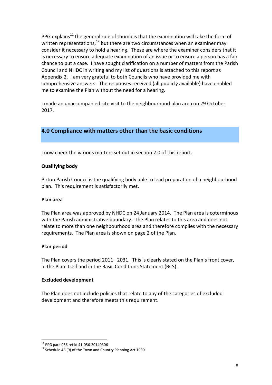PPG explains<sup>11</sup> the general rule of thumb is that the examination will take the form of written representations,<sup>12</sup> but there are two circumstances when an examiner may consider it necessary to hold a hearing. These are where the examiner considers that it is necessary to ensure adequate examination of an issue or to ensure a person has a fair chance to put a case. I have sought clarification on a number of matters from the Parish Council and NHDC in writing and my list of questions is attached to this report as Appendix 2. I am very grateful to both Councils who have provided me with comprehensive answers. The responses received (all publicly available) have enabled me to examine the Plan without the need for a hearing.

I made an unaccompanied site visit to the neighbourhood plan area on 29 October 2017.

# **4.0 Compliance with matters other than the basic conditions**

I now check the various matters set out in section 2.0 of this report.

# **Qualifying body**

Pirton Parish Council is the qualifying body able to lead preparation of a neighbourhood plan. This requirement is satisfactorily met.

#### **Plan area**

The Plan area was approved by NHDC on 24 January 2014. The Plan area is coterminous with the Parish administrative boundary. The Plan relates to this area and does not relate to more than one neighbourhood area and therefore complies with the necessary requirements. The Plan area is shown on page 2 of the Plan.

#### **Plan period**

The Plan covers the period 2011– 2031. This is clearly stated on the Plan's front cover, in the Plan itself and in the Basic Conditions Statement (BCS).

#### **Excluded development**

The Plan does not include policies that relate to any of the categories of excluded development and therefore meets this requirement.

<sup>&</sup>lt;sup>11</sup> PPG para 056 ref id 41-056-20140306<br><sup>12</sup> Schedule 4B (9) of the Town and Country Planning Act 1990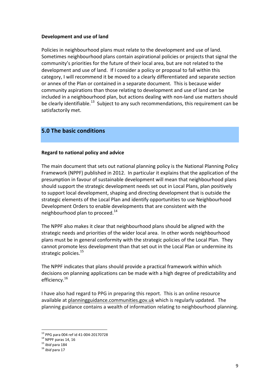## **Development and use of land**

Policies in neighbourhood plans must relate to the development and use of land. Sometimes neighbourhood plans contain aspirational policies or projects that signal the community's priorities for the future of their local area, but are not related to the development and use of land. If I consider a policy or proposal to fall within this category, I will recommend it be moved to a clearly differentiated and separate section or annex of the Plan or contained in a separate document. This is because wider community aspirations than those relating to development and use of land can be included in a neighbourhood plan, but actions dealing with non-land use matters should be clearly identifiable.<sup>13</sup> Subiect to any such recommendations, this requirement can be satisfactorily met.

# **5.0 The basic conditions**

#### **Regard to national policy and advice**

The main document that sets out national planning policy is the National Planning Policy Framework (NPPF) published in 2012. In particular it explains that the application of the presumption in favour of sustainable development will mean that neighbourhood plans should support the strategic development needs set out in Local Plans, plan positively to support local development, shaping and directing development that is outside the strategic elements of the Local Plan and identify opportunities to use Neighbourhood Development Orders to enable developments that are consistent with the neighbourhood plan to proceed.<sup>14</sup>

The NPPF also makes it clear that neighbourhood plans should be aligned with the strategic needs and priorities of the wider local area. In other words neighbourhood plans must be in general conformity with the strategic policies of the Local Plan. They cannot promote less development than that set out in the Local Plan or undermine its strategic policies.<sup>15</sup>

The NPPF indicates that plans should provide a practical framework within which decisions on planning applications can be made with a high degree of predictability and efficiency.<sup>16</sup>

I have also had regard to PPG in preparing this report. This is an online resource available at planningguidance.communities.gov.uk which is regularly updated. The planning guidance contains a wealth of information relating to neighbourhood planning.

<sup>&</sup>lt;sup>13</sup> PPG para 004 ref id 41-004-20170728<br><sup>14</sup> NPPF paras 14, 16<br><sup>15</sup> *Ibid* para 184<br><sup>16</sup> *Ibid* para 17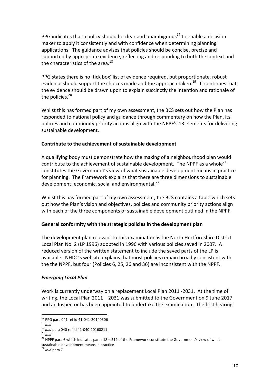PPG indicates that a policy should be clear and unambiguous<sup>17</sup> to enable a decision maker to apply it consistently and with confidence when determining planning applications. The guidance advises that policies should be concise, precise and supported by appropriate evidence, reflecting and responding to both the context and the characteristics of the area. $^{18}$ 

PPG states there is no 'tick box' list of evidence required, but proportionate, robust evidence should support the choices made and the approach taken.<sup>19</sup> It continues that the evidence should be drawn upon to explain succinctly the intention and rationale of the policies. $20$ 

Whilst this has formed part of my own assessment, the BCS sets out how the Plan has responded to national policy and guidance through commentary on how the Plan, its policies and community priority actions align with the NPPF's 13 elements for delivering sustainable development.

# **Contribute to the achievement of sustainable development**

A qualifying body must demonstrate how the making of a neighbourhood plan would contribute to the achievement of sustainable development. The NPPF as a whole<sup>21</sup> constitutes the Government's view of what sustainable development means in practice for planning. The Framework explains that there are three dimensions to sustainable development: economic, social and environmental. $^{22}$ 

Whilst this has formed part of my own assessment, the BCS contains a table which sets out how the Plan's vision and objectives, policies and community priority actions align with each of the three components of sustainable development outlined in the NPPF.

# General conformity with the strategic policies in the development plan

The development plan relevant to this examination is the North Hertfordshire District Local Plan No. 2 (LP 1996) adopted in 1996 with various policies saved in 2007. A reduced version of the written statement to include the saved parts of the LP is available. NHDC's website explains that most policies remain broadly consistent with the the NPPF, but four (Policies 6, 25, 26 and 36) are inconsistent with the NPPF.

# *Emerging Local Plan*

Work is currently underway on a replacement Local Plan 2011 -2031. At the time of writing, the Local Plan  $2011 - 2031$  was submitted to the Government on 9 June 2017 and an Inspector has been appointed to undertake the examination. The first hearing

<sup>&</sup>lt;sup>17</sup> PPG para 041 ref id 41-041-20140306<br>
<sup>18</sup> *Ibid*<br>
<sup>20</sup> *Ibid*<br>
<sup>21</sup> *NPPF* para 6 which indicates paras 18 – 219 of the Framework constitute the Government's view of what<br>
<sup>21</sup> NPPF para 6 which indicates paras 18 – sustainable development means in practice

<sup>&</sup>lt;sup>22</sup> *Ibid* para 7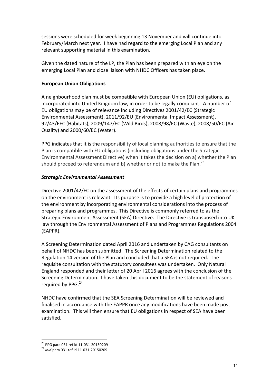sessions were scheduled for week beginning 13 November and will continue into February/March next year. I have had regard to the emerging Local Plan and any relevant supporting material in this examination.

Given the dated nature of the LP, the Plan has been prepared with an eye on the emerging Local Plan and close liaison with NHDC Officers has taken place.

## **European Union Obligations**

A neighbourhood plan must be compatible with European Union (EU) obligations, as incorporated into United Kingdom law, in order to be legally compliant. A number of EU obligations may be of relevance including Directives 2001/42/EC (Strategic Environmental Assessment), 2011/92/EU (Environmental Impact Assessment), 92/43/EEC (Habitats), 2009/147/EC (Wild Birds), 2008/98/EC (Waste), 2008/50/EC (Air Quality) and 2000/60/EC (Water).

PPG indicates that it is the responsibility of local planning authorities to ensure that the Plan is compatible with EU obligations (including obligations under the Strategic Environmental Assessment Directive) when it takes the decision on a) whether the Plan should proceed to referendum and b) whether or not to make the Plan. $^{23}$ 

# *Strategic Environmental Assessment*

Directive 2001/42/EC on the assessment of the effects of certain plans and programmes on the environment is relevant. Its purpose is to provide a high level of protection of the environment by incorporating environmental considerations into the process of preparing plans and programmes. This Directive is commonly referred to as the Strategic Environment Assessment (SEA) Directive. The Directive is transposed into UK law through the Environmental Assessment of Plans and Programmes Regulations 2004 (EAPPR).

A Screening Determination dated April 2016 and undertaken by CAG consultants on behalf of NHDC has been submitted. The Screening Determination related to the Regulation 14 version of the Plan and concluded that a SEA is not required. The requisite consultation with the statutory consultees was undertaken. Only Natural England responded and their letter of 20 April 2016 agrees with the conclusion of the Screening Determination. I have taken this document to be the statement of reasons required by PPG. $^{24}$ 

NHDC have confirmed that the SEA Screening Determination will be reviewed and finalised in accordance with the EAPPR once any modifications have been made post examination. This will then ensure that EU obligations in respect of SEA have been satisfied.

<sup>&</sup>lt;sup>23</sup> PPG para 031 ref id 11-031-20150209<br><sup>24</sup> *Ibid* para 031 ref id 11-031-20150209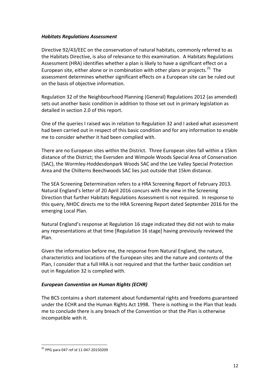# *Habitats Regulations Assessment*

Directive 92/43/EEC on the conservation of natural habitats, commonly referred to as the Habitats Directive, is also of relevance to this examination. A Habitats Regulations Assessment (HRA) identifies whether a plan is likely to have a significant effect on a European site, either alone or in combination with other plans or projects.<sup>25</sup> The assessment determines whether significant effects on a European site can be ruled out on the basis of objective information.

Regulation 32 of the Neighbourhood Planning (General) Regulations 2012 (as amended) sets out another basic condition in addition to those set out in primary legislation as detailed in section 2.0 of this report.

One of the queries I raised was in relation to Regulation 32 and I asked what assessment had been carried out in respect of this basic condition and for any information to enable me to consider whether it had been complied with.

There are no European sites within the District. Three European sites fall within a 15km distance of the District; the Eversden and Wimpole Woods Special Area of Conservation (SAC), the Wormley-Hoddesdonpark Woods SAC and the Lee Valley Special Protection Area and the Chilterns Beechwoods SAC lies just outside that 15km distance.

The SEA Screening Determination refers to a HRA Screening Report of February 2013. Natural England's letter of 20 April 2016 concurs with the view in the Screening Direction that further Habitats Regulations Assessment is not required. In response to this query, NHDC directs me to the HRA Screening Report dated September 2016 for the emerging Local Plan.

Natural England's response at Regulation 16 stage indicated they did not wish to make any representations at that time [Regulation 16 stage] having previously reviewed the Plan.

Given the information before me, the response from Natural England, the nature, characteristics and locations of the European sites and the nature and contents of the Plan, I consider that a full HRA is not required and that the further basic condition set out in Regulation 32 is complied with.

# *European Convention on Human Rights (ECHR)*

The BCS contains a short statement about fundamental rights and freedoms guaranteed under the ECHR and the Human Rights Act 1998. There is nothing in the Plan that leads me to conclude there is any breach of the Convention or that the Plan is otherwise incompatible with it.

 $^{25}$  PPG para 047 ref id 11-047-20150209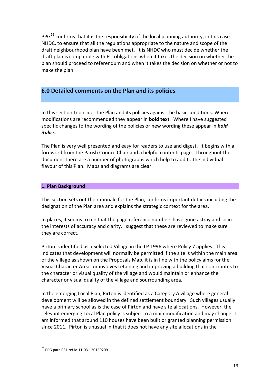$PPG<sup>26</sup>$  confirms that it is the responsibility of the local planning authority, in this case NHDC, to ensure that all the regulations appropriate to the nature and scope of the draft neighbourhood plan have been met. It is NHDC who must decide whether the draft plan is compatible with EU obligations when it takes the decision on whether the plan should proceed to referendum and when it takes the decision on whether or not to make the plan.

# **6.0 Detailed comments on the Plan and its policies**

In this section I consider the Plan and its policies against the basic conditions. Where modifications are recommended they appear in **bold text**. Where I have suggested specific changes to the wording of the policies or new wording these appear in **bold** *italics*.

The Plan is very well presented and easy for readers to use and digest. It begins with a foreword from the Parish Council Chair and a helpful contents page. Throughout the document there are a number of photographs which help to add to the individual flavour of this Plan. Maps and diagrams are clear.

#### **1. Plan Background**

This section sets out the rationale for the Plan, confirms important details including the designation of the Plan area and explains the strategic context for the area.

In places, it seems to me that the page reference numbers have gone astray and so in the interests of accuracy and clarity, I suggest that these are reviewed to make sure they are correct.

Pirton is identified as a Selected Village in the LP 1996 where Policy 7 applies. This indicates that development will normally be permitted if the site is within the main area of the village as shown on the Proposals Map, it is in line with the policy aims for the Visual Character Areas or involves retaining and improving a building that contributes to the character or visual quality of the village and would maintain or enhance the character or visual quality of the village and sourrounding area.

In the emerging Local Plan, Pirton is identified as a Category A village where general development will be allowed in the defined settlement boundary. Such villages usually have a primary school as is the case of Pirton and have site allocations. However, the relevant emerging Local Plan policy is subject to a main modification and may change. I am informed that around 110 houses have been built or granted planning permission since 2011. Pirton is unusual in that it does not have any site allocations in the

 $^{26}$  PPG para 031 ref id 11-031-20150209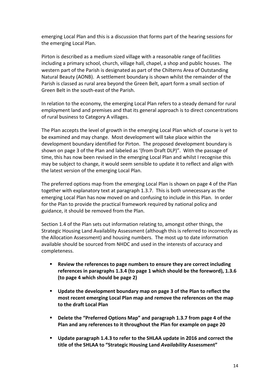emerging Local Plan and this is a discussion that forms part of the hearing sessions for the emerging Local Plan.

Pirton is described as a medium sized village with a reasonable range of facilities including a primary school, church, village hall, chapel, a shop and public houses. The western part of the Parish is designated as part of the Chilterns Area of Outstanding Natural Beauty (AONB). A settlement boundary is shown whilst the remainder of the Parish is classed as rural area beyond the Green Belt, apart form a small section of Green Belt in the south-east of the Parish.

In relation to the economy, the emerging Local Plan refers to a steady demand for rural employment land and premises and that its general approach is to direct concentrations of rural business to Category A villages.

The Plan accepts the level of growth in the emerging Local Plan which of course is yet to be examined and may change. Most development will take place within the development boundary identified for Pirton. The proposed development boundary is shown on page 3 of the Plan and labeled as '(from Draft DLP)". With the passage of time, this has now been revised in the emerging Local Plan and whilst I recognise this may be subject to change, it would seem sensible to update it to reflect and align with the latest version of the emerging Local Plan.

The preferred options map from the emerging Local Plan is shown on page 4 of the Plan together with explanatory text at paragraph 1.3.7. This is both unnecessary as the emerging Local Plan has now moved on and confusing to include in this Plan. In order for the Plan to provide the practical framework required by national policy and guidance, it should be removed from the Plan.

Section 1.4 of the Plan sets out information relating to, amongst other things, the Strategic Housing Land Availablity Assessment (although this is referred to incorrectly as the Allocation Assessment) and housing numbers. The most up to date information available should be sourced from NHDC and used in the interests of accuracy and completeness.

- **E** Review the references to page numbers to ensure they are correct including references in paragraphs 1.3.4 (to page 1 which should be the foreword), 1.3.6 **(to page 4 which should be page 2)**
- **■** Update the development boundary map on page 3 of the Plan to reflect the most recent emerging Local Plan map and remove the references on the map **to the draft Local Plan**
- **Delete the "Preferred Options Map" and paragraph 1.3.7 from page 4 of the Plan and any references to it throughout the Plan for example on page 20**
- **E** Update paragraph 1.4.3 to refer to the SHLAA update in 2016 and correct the **title of the SHLAA to "Strategic Housing Land Availability Assessment"**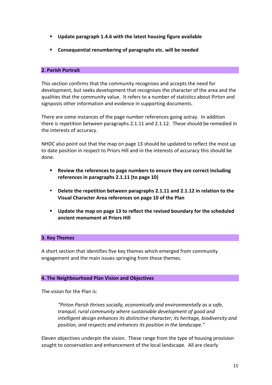- Update paragraph 1.4.6 with the latest housing figure available
- Consequential renumbering of paragraphs etc. will be needed

# **2. Parish Portrait**

This section confirms that the community recognises and accepts the need for development, but seeks development that recognises the character of the area and the qualities that the community value. It refers to a number of statistics about Pirton and signposts other information and evidence in supporting documents.

There are some instances of the page number references going astray. In addition there is repetition between paragraphs  $2.1.11$  and  $2.1.12$ . These should be remedied in the interests of accuracy.

NHDC also point out that the map on page 13 should be updated to reflect the most up to date position in respect to Priors Hill and in the interests of accuracy this should be done.

- **EXECTE:** Review the references to page numbers to ensure they are correct including references in paragraphs 2.1.11 (to page 10)
- Delete the repetition between paragraphs 2.1.11 and 2.1.12 in relation to the **Visual Character Area references on page 10 of the Plan**
- **■** Update the map on page 13 to reflect the revised boundary for the scheduled ancient monument at Priors Hill

#### **3. Key Themes**

A short section that identifies five key themes which emerged from community engagement and the main issues springing from those themes.

#### **4. The Neighbourhood Plan Vision and Objectives**

The vision for the Plan is:

"Pirton Parish thrives socially, economically and environmentally as a safe, tranquil, rural community where sustainable development of good and *intelligent design enhances its distinctive character; its heritage, biodiversity and* position, and respects and enhances its position in the landscape."

Eleven objectives underpin the vision. These range from the type of housing provision sought to conservation and enhancement of the local landscape. All are clearly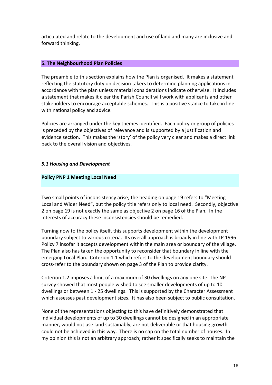articulated and relate to the development and use of land and many are inclusive and forward thinking.

#### **5. The Neighbourhood Plan Policies**

The preamble to this section explains how the Plan is organised. It makes a statement reflecting the statutory duty on decision takers to determine planning applications in accordance with the plan unless material considerations indicate otherwise. It includes a statement that makes it clear the Parish Council will work with applicants and other stakeholders to encourage acceptable schemes. This is a positive stance to take in line with national policy and advice.

Policies are arranged under the key themes identified. Each policy or group of policies is preceded by the objectives of relevance and is supported by a justification and evidence section. This makes the 'story' of the policy very clear and makes a direct link back to the overall vision and objectives.

#### *5.1 Housing and Development*

#### **Policy PNP 1 Meeting Local Need**

Two small points of inconsistency arise; the heading on page 19 refers to "Meeting Local and Wider Need", but the policy title refers only to local need. Secondly, objective 2 on page 19 is not exactly the same as objective 2 on page 16 of the Plan. In the interests of accuracy these inconsistencies should be remedied.

Turning now to the policy itself, this supports development within the development boundary subject to various criteria. Its overall approach is broadly in line with LP 1996 Policy 7 insofar it accepts development within the main area or boundary of the village. The Plan also has taken the opportunity to reconsider that boundary in line with the emerging Local Plan. Criterion 1.1 which refers to the development boundary should cross-refer to the boundary shown on page 3 of the Plan to provide clarity.

Criterion 1.2 imposes a limit of a maximum of 30 dwellings on any one site. The NP survey showed that most people wished to see smaller developments of up to 10 dwellings or between 1 - 25 dwellings. This is supported by the Character Assessment which assesses past development sizes. It has also been subject to public consultation.

None of the representations objecting to this have definitively demonstrated that individual developments of up to 30 dwellings cannot be designed in an appropriate manner, would not use land sustainably, are not deliverable or that housing growth could not be achieved in this way. There is no cap on the total number of houses. In my opinion this is not an arbitrary approach; rather it specifically seeks to maintain the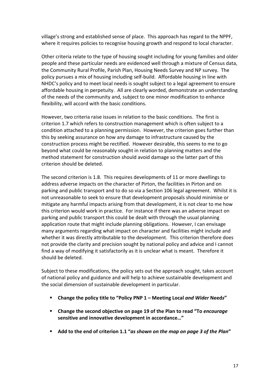village's strong and established sense of place. This approach has regard to the NPPF, where it requires policies to recognise housing growth and respond to local character.

Other criteria relate to the type of housing sought including for young families and older people and these particular needs are evidenced well through a mixture of Census data, the Community Rural Profile, Parish Plan, Housing Needs Survey and NP survey. The policy pursues a mix of housing including self-build. Affordable housing in line with NHDC's policy and to meet local needs is sought subject to a legal agreement to ensure affordable housing in perpetuity. All are clearly worded, demonstrate an understanding of the needs of the community and, subject to one minor modification to enhance flexibility, will accord with the basic conditions.

However, two criteria raise issues in relation to the basic conditions. The first is criterion 1.7 which refers to construction management which is often subject to a condition attached to a planning permission. However, the criterion goes further than this by seeking assurance on how any damage to infrastructure caused by the construction process might be rectified. However desirable, this seems to me to go beyond what could be reasonably sought in relation to planning matters and the method statement for construction should avoid damage so the latter part of this criterion should be deleted.

The second criterion is 1.8. This requires developments of 11 or more dwellings to address adverse impacts on the character of Pirton, the facilities in Pirton and on parking and public transport and to do so via a Section 106 legal agreement. Whilst it is not unreasonable to seek to ensure that development proposals should minimise or mitigate any harmful impacts arising from that development, it is not clear to me how this criterion would work in practice. For instance if there was an adverse impact on parking and public transport this could be dealt with through the usual planning application route that might include planning obligations. However, I can envisage many arguments regarding what impact on character and facilities might include and whether it was directly attributable to the development. This criterion therefore does not provide the clarity and precision sought by national policy and advice and I cannot find a way of modifying it satisfactorily as it is unclear what is meant. Therefore it should be deleted.

Subject to these modifications, the policy sets out the approach sought, takes account of national policy and guidance and will help to achieve sustainable development and the social dimension of sustainable development in particular.

- **Change the policy title to "Policy PNP 1 Meeting Local and Wider Needs"**
- **EXECHANGE:** Change the second objective on page 19 of the Plan to read "To *encourage* sensitive and innovative development in accordance..."
- Add to the end of criterion 1.1 "as shown on the map on page 3 of the Plan"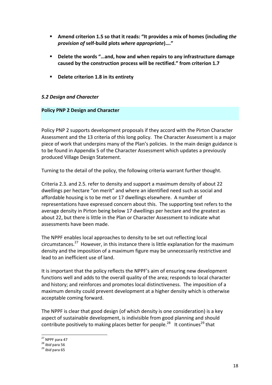- **EXECTE:** Amend criterion 1.5 so that it reads: "It provides a mix of homes (including *the provision of* **self-build plots** *where appropriate***)…."**
- Delete the words "...and, how and when repairs to any infrastructure damage caused by the construction process will be rectified." from criterion 1.7
- Delete criterion 1.8 in its entirety

# *5.2 Design and Character*

#### **Policy PNP 2 Design and Character**

Policy PNP 2 supports development proposals if they accord with the Pirton Character Assessment and the 13 criteria of this long policy. The Character Assessment is a major piece of work that underpins many of the Plan's policies. In the main design guidance is to be found in Appendix 5 of the Character Assessment which updates a previously produced Village Design Statement.

Turning to the detail of the policy, the following criteria warrant further thought.

Criteria 2.3. and 2.5. refer to density and support a maximum density of about 22 dwellings per hectare "on merit" and where an identified need such as social and affordable housing is to be met or 17 dwellings elsewhere. A number of representations have expressed concern about this. The supporting text refers to the average density in Pirton being below 17 dwellings per hectare and the greatest as about 22, but there is little in the Plan or Character Assessment to indicate what assessments have been made.

The NPPF enables local approaches to density to be set out reflecting local circumstances.<sup>27</sup> However, in this instance there is little explanation for the maximum density and the imposition of a maximum figure may be unnecessarily restrictive and lead to an inefficient use of land.

It is important that the policy reflects the NPPF's aim of ensuring new development functions well and adds to the overall quality of the area; responds to local character and history; and reinforces and promotes local distinctiveness. The imposition of a maximum density could prevent development at a higher density which is otherwise acceptable coming forward.

The NPPF is clear that good design (of which density is one consideration) is a key aspect of sustainable development, is indivisible from good planning and should contribute positively to making places better for people.<sup>28</sup> It continues<sup>29</sup> that

 $\frac{27}{18}$  NPPF para 47<br> $\frac{28}{16}$  *Ibid* para 56<br> $\frac{29}{16}$  *Ibid* para 65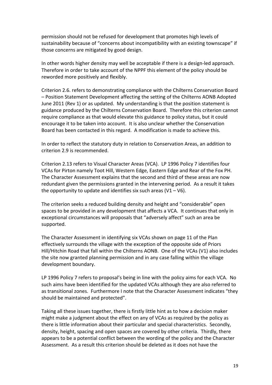permission should not be refused for development that promotes high levels of sustainability because of "concerns about incompatibility with an existing townscape" if those concerns are mitigated by good design.

In other words higher density may well be acceptable if there is a design-led approach. Therefore in order to take account of the NPPF this element of the policy should be reworded more positively and flexibly.

Criterion 2.6. refers to demonstrating compliance with the Chilterns Conservation Board - Position Statement Development affecting the setting of the Chilterns AONB Adopted June 2011 (Rev 1) or as updated. My understanding is that the position statement is guidance produced by the Chilterns Conservation Board. Therefore this criterion cannot require compliance as that would elevate this guidance to policy status, but it could encourage it to be taken into account. It is also unclear whether the Conservation Board has been contacted in this regard. A modification is made to achieve this.

In order to reflect the statutory duty in relation to Conservation Areas, an addition to criterion 2.9 is recommended.

Criterion 2.13 refers to Visual Character Areas (VCA). LP 1996 Policy 7 identifies four VCAs for Pirton namely Toot Hill, Western Edge, Eastern Edge and Rear of the Fox PH. The Character Assessment explains that the second and third of these areas are now redundant given the permissions granted in the intervening period. As a result it takes the opportunity to update and identifies six such areas  $(V1 - V6)$ .

The criterion seeks a reduced building density and height and "considerable" open spaces to be provided in any development that affects a VCA. It continues that only in exceptional circumstances will proposals that "adversely affect" such an area be supported. 

The Character Assessment in identifying six VCAs shown on page 11 of the Plan effectively surrounds the village with the exception of the opposite side of Priors Hill/Hitchin Road that fall within the Chilterns AONB. One of the VCAs (V1) also includes the site now granted planning permission and in any case falling within the village development boundary.

LP 1996 Policy 7 refers to proposal's being in line with the policy aims for each VCA. No such aims have been identified for the updated VCAs although they are also referred to as transitional zones. Furthermore I note that the Character Assessment indicates "they should be maintained and protected".

Taking all these issues together, there is firstly little hint as to how a decision maker might make a judgment about the effect on any of VCAs as required by the policy as there is little information about their particular and special characteristics. Secondly, density, height, spacing and open spaces are covered by other criteria. Thirdly, there appears to be a potential conflict between the wording of the policy and the Character Assessment. As a result this criterion should be deleted as it does not have the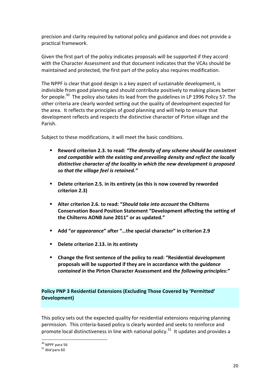precision and clarity required by national policy and guidance and does not provide a practical framework.

Given the first part of the policy indicates proposals will be supported if they accord with the Character Assessment and that document indicates that the VCAs should be maintained and protected, the first part of the policy also requires modification.

The NPPF is clear that good design is a key aspect of sustainable development, is indivisible from good planning and should contribute positively to making places better for people.<sup>30</sup> The policy also takes its lead from the guidelines in LP 1996 Policy 57. The other criteria are clearly worded setting out the quality of development expected for the area. It reflects the principles of good planning and will help to ensure that development reflects and respects the distinctive character of Pirton village and the Parish. 

Subject to these modifications, it will meet the basic conditions.

- Reword criterion 2.3. to read: "The density of any scheme should be consistent and compatible with the existing and prevailing density and reflect the locally distinctive character of the locality in which the new development is proposed *so that the village feel is retained."*
- **E** Delete criterion 2.5. in its entirety (as this is now covered by reworded **criterion 2.3)**
- **E** Alter criterion 2.6. to read: "*Should take into account* the Chilterns Conservation Board Position Statement "Development affecting the setting of **the Chilterns AONB June 2011" or as updated***.***"**
- Add "or appearance" after "...the special character" in criterion 2.9
- **Delete criterion 2.13. in its entirety**
- Change the first sentence of the policy to read: "Residential development proposals will be supported if they are in accordance with the *guidance contained in the Pirton Character Assessment and the following principles:"*

# **Policy PNP 3 Residential Extensions (Excluding Those Covered by 'Permitted' Development)**

This policy sets out the expected quality for residential extensions requiring planning permission. This criteria-based policy is clearly worded and seeks to reinforce and promote local distinctiveness in line with national policy.<sup>31</sup> It updates and provides a

 $30$  NPPF para 56<br> $31$  *Ihid* para 60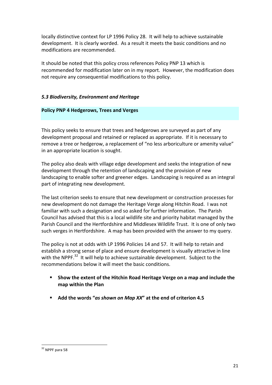locally distinctive context for LP 1996 Policy 28. It will help to achieve sustainable development. It is clearly worded. As a result it meets the basic conditions and no modifications are recommended.

It should be noted that this policy cross references Policy PNP 13 which is recommended for modification later on in my report. However, the modification does not require any consequential modifications to this policy.

# *5.3 Biodiversity, Environment and Heritage*

#### **Policy PNP 4 Hedgerows, Trees and Verges**

This policy seeks to ensure that trees and hedgerows are surveyed as part of any development proposal and retained or replaced as appropriate. If it is necessary to remove a tree or hedgerow, a replacement of "no less arboriculture or amenity value" in an appropriate location is sought.

The policy also deals with village edge development and seeks the integration of new development through the retention of landscaping and the provision of new landscaping to enable softer and greener edges. Landscaping is required as an integral part of integrating new development.

The last criterion seeks to ensure that new development or construction processes for new development do not damage the Heritage Verge along Hitchin Road. I was not familiar with such a designation and so asked for further information. The Parish Council has advised that this is a local wildlife site and priority habitat managed by the Parish Council and the Hertfordshire and Middlesex Wildlife Trust. It is one of only two such verges in Hertfordshire. A map has been provided with the answer to my query.

The policy is not at odds with LP 1996 Policies 14 and 57. It will help to retain and establish a strong sense of place and ensure development is visually attractive in line with the NPPF. $^{32}$  It will help to achieve sustainable development. Subject to the recommendations below it will meet the basic conditions.

- Show the extent of the Hitchin Road Heritage Verge on a map and include the **map within the Plan**
- Add the words "as shown on Map XX" at the end of criterion 4.5

 $32$  NPPF para 58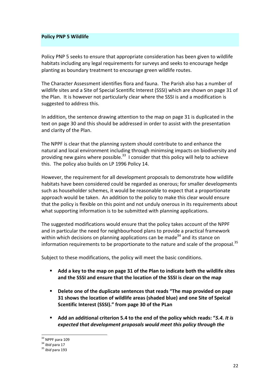#### **Policy PNP 5 Wildlife**

Policy PNP 5 seeks to ensure that appropriate consideration has been given to wildlife habitats including any legal requirements for surveys and seeks to encourage hedge planting as boundary treatment to encourage green wildlife routes.

The Character Assessment identifies flora and fauna. The Parish also has a number of wildlife sites and a Site of Special Scentific Interest (SSSI) which are shown on page 31 of the Plan. It is however not particularly clear where the SSSI is and a modification is suggested to address this.

In addition, the sentence drawing attention to the map on page 31 is duplicated in the text on page 30 and this should be addressed in order to assist with the presentation and clarity of the Plan.

The NPPF is clear that the planning system should contribute to and enhance the natural and local environment including through minimsing impacts on biodiversity and providing new gains where possible.<sup>33</sup> I consider that this policy will help to achieve this. The policy also builds on LP 1996 Policy 14.

However, the requirement for all development proposals to demonstrate how wildlife habitats have been considered could be regarded as onerous; for smaller developments such as householder schemes, it would be reasonable to expect that a proportionate approach would be taken. An addition to the policy to make this clear would ensure that the policy is flexible on this point and not unduly onerous in its requirements about what supporting information is to be submitted with planning applications.

The suggested modifications would ensure that the policy takes account of the NPPF and in particular the need for neighbourhood plans to provide a practical framework within which decisions on planning applications can be made<sup>34</sup> and its stance on information requirements to be proportionate to the nature and scale of the proposal.<sup>35</sup>

Subject to these modifications, the policy will meet the basic conditions.

- **E** Add a key to the map on page 31 of the Plan to indicate both the wildlife sites and the SSSI and ensure that the location of the SSSI is clear on the map
- **•** Delete one of the duplicate sentences that reads "The map provided on page **31 shows the location of wildlife areas (shaded blue) and one Site of Speical** Scentific Interest (SSSI)." from page 30 of the PLan
- Add an additional criterion 5.4 to the end of the policy which reads: "5.4. It is *expected that development proposals would meet this policy through the*

<sup>&</sup>lt;sup>33</sup> NPPF para 109<br><sup>34</sup> *Ibid* para 17<br><sup>35</sup> *Ibid* para 193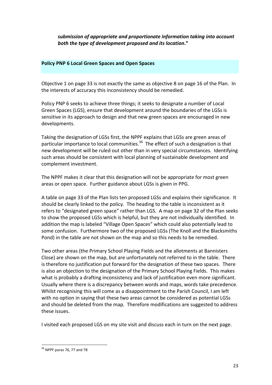submission of appropriate and proportionate information taking into account *both the type of development proposed and its location***."**

#### **Policy PNP 6 Local Green Spaces and Open Spaces**

Objective 1 on page 33 is not exactly the same as objective 8 on page 16 of the Plan. In the interests of accuracy this inconsistency should be remedied.

Policy PNP 6 seeks to achieve three things; it seeks to designate a number of Local Green Spaces (LGS), ensure that development around the boundaries of the LGSs is sensitive in its approach to design and that new green spaces are encouraged in new developments.

Taking the designation of LGSs first, the NPPF explains that LGSs are green areas of particular importance to local communities.<sup>36</sup> The effect of such a designation is that new development will be ruled out other than in very special circumstances. Identifying such areas should be consistent with local planning of sustainable development and complement investment.

The NPPF makes it clear that this designation will not be appropriate for most green areas or open space. Further guidance about LGSs is given in PPG.

A table on page 33 of the Plan lists ten proposed LGSs and explains their significance. It should be clearly linked to the policy. The heading to the table is inconsistent as it refers to "designated green space" rather than LGS. A map on page 32 of the Plan seeks to show the proposed LGSs which is helpful, but they are not individually identified. In addition the map is labeled "Village Open Spaces" which could also potentially lead to some confusion. Furthermore two of the proposed LGSs (The Knoll and the Blacksmiths Pond) in the table are not shown on the map and so this needs to be remedied.

Two other areas (the Primary School Playing Fields and the allotments at Bannisters Close) are shown on the map, but are unfortunately not referred to in the table. There is therefore no justification put forward for the designation of these two spaces. There is also an objection to the designation of the Primary School Playing Fields. This makes what is probably a drafting inconsistency and lack of justification even more significant. Usually where there is a discrepancy between words and maps, words take precedence. Whilst recognising this will come as a disappointment to the Parish Council, I am left with no option in saying that these two areas cannot be considered as potential LGSs and should be deleted from the map. Therefore modifications are suggested to address these issues.

I visited each proposed LGS on my site visit and discuss each in turn on the next page.

 $36$  NPPF paras 76, 77 and 78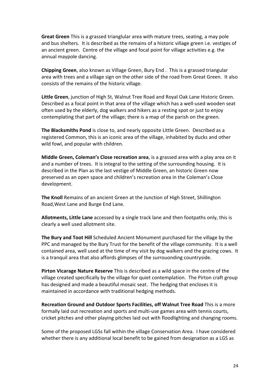**Great Green** This is a grassed trianglular area with mature trees, seating, a may pole and bus shelters. It is described as the remains of a historic village green i.e. vestiges of an ancient green. Centre of the village and focal point for village activities e.g. the annual maypole dancing.

**Chipping Green**, also known as Village Green, Bury End. This is a grassed triangular area with trees and a village sign on the other side of the road from Great Green. It also consists of the remains of the historic village.

Little Green, junction of High St, Walnut Tree Road and Royal Oak Lane Historic Green. Described as a focal point in that area of the village which has a well-used wooden seat often used by the elderly, dog walkers and hikers as a resting spot or just to enjoy contemplating that part of the village; there is a map of the parish on the green.

**The Blacksmiths Pond** is close to, and nearly opposite Little Green. Described as a registered Common, this is an iconic area of the village, inhabited by ducks and other wild fowl, and popular with children.

**Middle Green, Coleman's Close recreation area**, is a grassed area with a play area on it and a number of trees. It is integral to the setting of the surrounding housing. It is described in the Plan as the last vestige of Middle Green, an historic Green now preserved as an open space and children's recreation area in the Coleman's Close development.

**The Knoll** Remains of an ancient Green at the Junction of High Street, Shillington Road, West Lane and Burge End Lane.

**Allotments, Little Lane** accessed by a single track lane and then footpaths only, this is clearly a well used allotment site.

**The Bury and Toot Hill** Scheduled Ancient Monument purchased for the village by the PPC and managed by the Bury Trust for the benefit of the village community. It is a well contained area, well used at the time of my visit by dog walkers and the grazing cows. It is a tranquil area that also affords glimpses of the surrouonding countryside.

**Pirton Vicarage Nature Reserve** This is described as a wild space in the centre of the village created specifically by the village for quiet contemplation. The Pirton craft group has designed and made a beautiful mosaic seat. The hedging that encloses it is maintained in accordance with traditional hedging methods.

**Recreation Ground and Outdoor Sports Facilities, off Walnut Tree Road This is a more** formally laid out recreation and sports and multi-use games area with tennis courts, cricket pitches and other playing pitches laid out with floodlighting and changing rooms.

Some of the proposed LGSs fall within the village Conservation Area. I have considered whether there is any additional local benefit to be gained from designation as a LGS as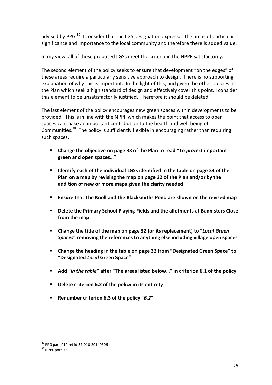advised by PPG.<sup>37</sup> I consider that the LGS designation expresses the areas of particular significance and importance to the local community and therefore there is added value.

In my view, all of these proposed LGSs meet the criteria in the NPPF satisfactorily.

The second element of the policy seeks to ensure that development "on the edges" of these areas require a particularly sensitive approach to design. There is no supporting explanation of why this is important. In the light of this, and given the other policies in the Plan which seek a high standard of design and effectively cover this point, I consider this element to be unsatisfactorily justified. Therefore it should be deleted.

The last element of the policy encourages new green spaces within developments to be provided. This is in line with the NPPF which makes the point that access to open spaces can make an important contribution to the health and well-being of Communities.<sup>38</sup> The policy is sufficiently flexible in encouraging rather than requiring such spaces.

- Change the objective on page 33 of the Plan to read "To *protect* important **green and open spaces…"**
- **E** Identify each of the individual LGSs identified in the table on page 33 of the Plan on a map by revising the map on page 32 of the Plan and/or by the addition of new or more maps given the clarity needed
- **Ensure that The Knoll and the Blacksmiths Pond are shown on the revised map**
- Delete the Primary School Playing Fields and the allotments at Bannisters Close from the map
- **Change the title of the map on page 32 (or its replacement) to "***Local Green* **Spaces**<sup>"</sup> removing the references to anything else including village open spaces
- **EXECHANGE:** Change the heading in the table on page 33 from "Designated Green Space" to **"Designated** *Local* **Green Space"**
- Add "*in the table*" after "The areas listed below..." in criterion 6.1 of the policy
- **Delete criterion 6.2 of the policy in its entirety**
- Renumber criterion 6.3 of the policy "6.2"

 $37$  PPG para 010 ref id 37-010-20140306<br> $38$  NPPF nara 73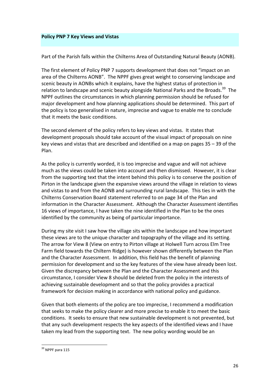#### **Policy PNP 7 Key Views and Vistas**

Part of the Parish falls within the Chilterns Area of Outstanding Natural Beauty (AONB).

The first element of Policy PNP 7 supports development that does not "impact on an area of the Chilterns AONB". The NPPF gives great weight to conserving landscape and scenic beauty in AONBs which it explains, have the highest status of protection in relation to landscape and scenic beauty alongside National Parks and the Broads.<sup>39</sup> The NPPF outlines the circumstances in which planning permission should be refused for maior development and how planning applications should be determined. This part of the policy is too generalised in nature, imprecise and vague to enable me to conclude that it meets the basic conditions.

The second element of the policy refers to key views and vistas. It states that development proposals should take account of the visual impact of proposals on nine key views and vistas that are described and identified on a map on pages  $35 - 39$  of the Plan.

As the policy is currently worded, it is too imprecise and vague and will not achieve much as the views could be taken into account and then dismissed. However, it is clear from the supporting text that the intent behind this policy is to conserve the position of Pirton in the landscape given the expansive views around the village in relation to views and vistas to and from the AONB and surrounding rural landscape. This ties in with the Chilterns Conservation Board statement referred to on page 34 of the Plan and information in the Character Assessment. Although the Character Assessment identifies 16 views of importance, I have taken the nine identified in the Plan to be the ones identified by the community as being of particular importance.

During my site visit I saw how the village sits within the landscape and how important these views are to the unique character and topography of the village and its setting. The arrow for View 8 (View on entry to Pirton village at Holwell Turn across Elm Tree Farm field towards the Chiltern Ridge) is however shown differently between the Plan and the Character Assessment. In addition, this field has the benefit of planning permission for development and so the key features of the view have already been lost. Given the discrepancy between the Plan and the Character Assessment and this circumstance, I consider View 8 should be deleted from the policy in the interests of achieving sustainable development and so that the policy provides a practical framework for decision making in accordance with national policy and guidance.

Given that both elements of the policy are too imprecise, I recommend a modification that seeks to make the policy clearer and more precise to enable it to meet the basic conditions. It seeks to ensure that new sustainable development is not prevented, but that any such development respects the key aspects of the identified views and I have taken my lead from the supporting text. The new policy wording would be an

 $39$  NPPF para 115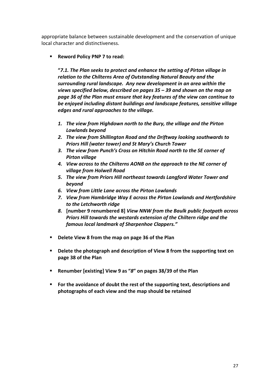appropriate balance between sustainable development and the conservation of unique local character and distinctiveness.

# **E** Reword Policy PNP 7 to read:

**"***7.1. The Plan seeks to protect and enhance the setting of Pirton village in relation to the Chilterns Area of Outstanding Natural Beauty and the* surrounding rural landscape. Any new development in an area within the *views specified below, described on pages*  $35 - 39$  and shown on the map on page 36 of the Plan must ensure that key features of the view can continue to be enjoyed *including distant buildings and landscape features, sensitive village edges and rural approaches to the village.* 

- 1. The view from Highdown north to the Bury, the village and the Pirton Lowlands beyond
- 2. The view from Shillington Road and the Driftway looking southwards to *Priors Hill (water tower) and St Mary's Church Tower*
- 3. The view from Punch's Cross on Hitchin Road north to the SE corner of *Pirton village*
- *4. View across to the Chilterns AONB on the approach to the NE corner of village from Holwell Road*
- 5. The view from Priors Hill northeast towards Langford Water Tower and *beyond*
- *6. View from Little Lane across the Pirton Lowlands*
- 7. *View from Hambridge Way E across the Pirton Lowlands and Hertfordshire to the Letchworth ridge*
- 8. [number 9 renumbered 8] *View NNW from the Baulk public footpath across* **Priors Hill towards the westards extension of the Chiltern ridge and the** *famous local landmark of Sharpenhoe Clappers."*
- Delete View 8 from the map on page 36 of the Plan
- **EXEL Delete the photograph and description of View 8 from the supporting text on page 38 of the Plan**
- Renumber [existing] View 9 as "*8*" on pages 38/39 of the Plan
- For the avoidance of doubt the rest of the supporting text, descriptions and **photographs of each view and the map should be retained**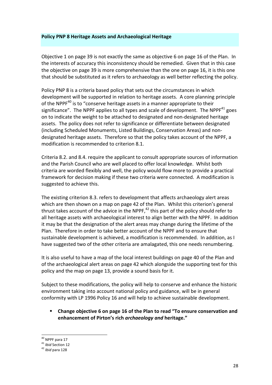#### **Policy PNP 8 Heritage Assets and Archaeological Heritage**

Objective 1 on page 39 is not exactly the same as objective 6 on page 16 of the Plan. In the interests of accuracy this inconsistency should be remedied. Given that in this case the objective on page 39 is more comprehensive than the one on page 16, it is this one that should be substituted as it refers to archaeology as well better reflecting the policy.

Policy PNP 8 is a criteria based policy that sets out the circumstances in which development will be supported in relation to heritage assets. A core planning principle of the NPPF<sup>40</sup> is to "conserve heritage assets in a manner appropriate to their significance". The NPPF applies to all types and scale of development. The NPPF<sup>41</sup> goes on to indicate the weight to be attached to designated and non-designated heritage assets. The policy does not refer to significance or differentiate between designated (including Scheduled Monuments, Listed Buildings, Conservation Areas) and nondesignated heritage assets. Therefore so that the policy takes account of the NPPF, a modification is recommended to criterion 8.1.

Criteria 8.2. and 8.4. require the applicant to consult appropriate sources of information and the Parish Council who are well placed to offer local knowledge. Whilst both criteria are worded flexibly and well, the policy would flow more to provide a practical framework for decision making if these two criteria were connected. A modification is suggested to achieve this.

The existing criterion 8.3. refers to development that affects archaeology alert areas which are then shown on a map on page 42 of the Plan. Whilst this criterion's general thrust takes account of the advice in the NPPF,<sup>42</sup> this part of the policy should refer to all heritage assets with archaeological interest to align better with the NPPF. In addition it may be that the designation of the alert areas may change during the lifetime of the Plan. Therefore in order to take better account of the NPPF and to ensure that sustainable development is achieved, a modification is recommended. In addition, as I have suggested two of the other criteria are amalagated, this one needs renumbering.

It is also useful to have a map of the local interest buildings on page 40 of the Plan and of the archaeological alert areas on page 42 which alongside the supporting text for this policy and the map on page 13, provide a sound basis for it.

Subject to these modifications, the policy will help to conserve and enhance the historic environment taking into account national policy and guidance, will be in general conformity with LP 1996 Policy 16 and will help to achieve sustainable development.

# **EXECHANGE:** Change objective 6 on page 16 of the Plan to read "To ensure conservation and **enhancement of Pirton's rich** *archaeology and* **heritage."**

<sup>40</sup> NPPF para 17<br><sup>41</sup> *Ibid* Section 12<br><sup>42</sup> *Ibid* para 128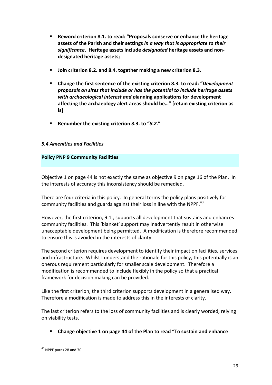- **EXEL BE REW REW CORDED EXECT:** Proposals conserve or enhance the heritage assets of the Parish and their settings *in a way that is appropriate to their significance***. Heritage assets include** *designated* **heritage assets and nondesignated heritage assets;**
- **Join criterion 8.2. and 8.4. together making a new criterion 8.3.**
- **E** Change the first sentence of the existing criterion 8.3. to read: "*Development proposals* on sites that include or has the potential to include heritage assets with archaeological interest and planning applications for development affecting the archaeology alert areas should be..." I retain existing criterion as **is]**
- Renumber the existing criterion 8.3. to "8.2."

# *5.4 Amenities and Facilities*

# **Policy PNP 9 Community Facilities**

Objective 1 on page 44 is not exactly the same as objective 9 on page 16 of the Plan. In the interests of accuracy this inconsistency should be remedied.

There are four criteria in this policy. In general terms the policy plans positively for community facilities and guards against their loss in line with the NPPF. $^{43}$ 

However, the first criterion, 9.1., supports all development that sustains and enhances community facilities. This 'blanket' support may inadvertently result in otherwise unacceptable development being permitted. A modification is therefore recommended to ensure this is avoided in the interests of clarity.

The second criterion requires development to identify their impact on facilities, services and infrastructure. Whilst I understand the rationale for this policy, this potentially is an onerous requirement particularly for smaller scale development. Therefore a modification is recommended to include flexibly in the policy so that a practical framework for decision making can be provided.

Like the first criterion, the third criterion supports development in a generalised way. Therefore a modification is made to address this in the interests of clarity.

The last criterion refers to the loss of community facilities and is clearly worded, relying on viability tests.

Change objective 1 on page 44 of the Plan to read "To sustain and enhance

 $43$  NPPF paras 28 and 70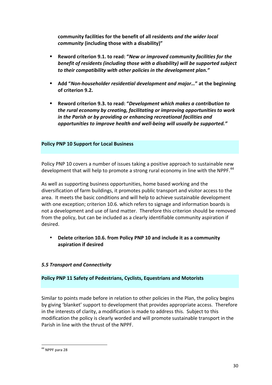community facilities for the benefit of all residents *and the wider local community* (including those with a disability)"

- Reword criterion 9.1. to read: "New or improved community facilities for the *benefit of residents (including those with a disability)* will be supported subject to their compatibility with other policies in the development plan."
- Add "*Non-householder residential development and major...*" at the beginning of criterion 9.2.
- § **Reword criterion 9.3. to read: "***Development which makes a contribution to the rural economy by creating, facilitating or improving opportunities to work* in the Parish or by providing or enhancing recreational facilities and *opportunities to improve health and well-being will usually be supported."*

# **Policy PNP 10 Support for Local Business**

Policy PNP 10 covers a number of issues taking a positive approach to sustainable new development that will help to promote a strong rural economy in line with the NPPF.<sup>44</sup>

As well as supporting business opportunities, home based working and the diversification of farm buildings, it promotes public transport and visitor access to the area. It meets the basic conditions and will help to achieve sustainable development with one exception; criterion 10.6. which refers to signage and information boards is not a development and use of land matter. Therefore this criterion should be removed from the policy, but can be included as a clearly identifiable community aspiration if desired. 

**Delete criterion 10.6. from Policy PNP 10 and include it as a community aspiration if desired**

# *5.5 Transport and Connectivity*

#### **Policy PNP 11 Safety of Pedestrians, Cyclists, Equestrians and Motorists**

Similar to points made before in relation to other policies in the Plan, the policy begins by giving 'blanket' support to development that provides appropriate access. Therefore in the interests of clarity, a modification is made to address this. Subject to this modification the policy is clearly worded and will promote sustainable transport in the Parish in line with the thrust of the NPPF.

 $44$  NPPF para 28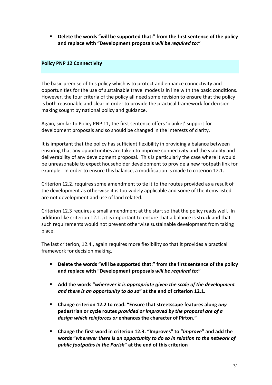**EXEL Delete the words "will be supported that:" from the first sentence of the policy** and replace with "Development proposals will be required to:"

## **Policy PNP 12 Connectivity**

The basic premise of this policy which is to protect and enhance connectivity and opportunities for the use of sustainable travel modes is in line with the basic conditions. However, the four criteria of the policy all need some revision to ensure that the policy is both reasonable and clear in order to provide the practical framework for decision making sought by national policy and guidance.

Again, similar to Policy PNP 11, the first sentence offers 'blanket' support for development proposals and so should be changed in the interests of clarity.

It is important that the policy has sufficient flexibility in providing a balance between ensuring that any opportunities are taken to improve connectivity and the viability and deliverability of any development proposal. This is particularly the case where it would be unreasonable to expect householder development to provide a new footpath link for example. In order to ensure this balance, a modification is made to criterion 12.1.

Criterion 12.2. requires some amendment to tie it to the routes provided as a result of the development as otherwise it is too widely applicable and some of the items listed are not development and use of land related.

Criterion 12.3 requires a small amendment at the start so that the policy reads well. In addition like criterion 12.1., it is important to ensure that a balance is struck and that such requirements would not prevent otherwise sustainable development from taking place.

The last criterion, 12.4., again requires more flexibility so that it provides a practical framework for decision making.

- **EXECTE:** Delete the words "will be supported that:" from the first sentence of the policy and replace with "Development proposals will be required to:"
- Add the words "wherever it is appropriate given the scale of the development and there is an opportunity to do so" at the end of criterion 12.1.
- Change criterion 12.2 to read: "Ensure that streetscape features along any pedestrian or cycle routes provided or improved by the proposal are of a **design which reinforces or enhances the character of Pirton."**
- **Change the first word in criterion 12.3. "Improves" to "Improve" and add the** words "wherever there is an opportunity to do so in relation to the network of **public** footpaths in the Parish" at the end of this criterion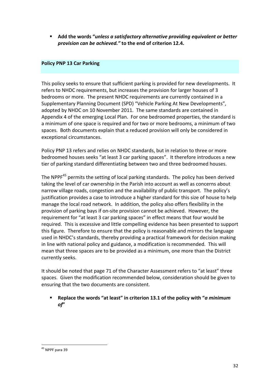Add the words "*unless a satisfactory alternative providing equivalent or better provision can be achieved."* to the end of criterion 12.4.

# **Policy PNP 13 Car Parking**

This policy seeks to ensure that sufficient parking is provided for new developments. It refers to NHDC requirements, but increases the provision for larger houses of 3 bedrooms or more. The present NHDC requirements are currently contained in a Supplementary Planning Document (SPD) "Vehicle Parking At New Developments", adopted by NHDC on 10 November 2011. The same standards are contained in Appendix 4 of the emerging Local Plan. For one bedroomed properties, the standard is a minimum of one space is required and for two or more bedrooms, a minimum of two spaces. Both documents explain that a reduced provision will only be considered in exceptional circumstances.

Policy PNP 13 refers and relies on NHDC standards, but in relation to three or more bedroomed houses seeks "at least 3 car parking spaces". It therefore introduces a new tier of parking standard differentiating between two and three bedroomed houses.

The NPPF $45$  permits the setting of local parking standards. The policy has been derived taking the level of car ownership in the Parish into account as well as concerns about narrow village roads, congestion and the availability of public transport. The policy's justification provides a case to introduce a higher standard for this size of house to help manage the local road network. In addition, the policy also offers flexibility in the provision of parking bays if on-site provision cannot be achieved. However, the requirement for "at least 3 car parking spaces" in effect means that four would be required. This is excessive and little compelling evidence has been presented to support this figure. Therefore to ensure that the policy is reasonable and mirrors the language used in NHDC's standards, thereby providing a practical framework for decision making in line with national policy and guidance, a modification is recommended. This will mean that three spaces are to be provided as a minimum, one more than the District currently seeks.

It should be noted that page 71 of the Character Assessment refers to "at least" three spaces. Given the modification recommended below, consideration should be given to ensuring that the two documents are consistent.

**Replace the words "at least" in criterion 13.1 of the policy with "***a minimum of***"**

 $45$  NPPF para 39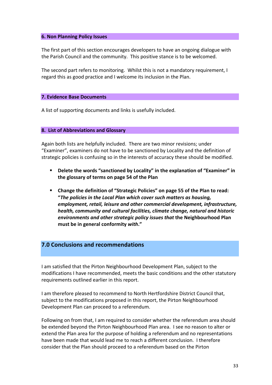#### **6. Non Planning Policy Issues**

The first part of this section encourages developers to have an ongoing dialogue with the Parish Council and the community. This positive stance is to be welcomed.

The second part refers to monitoring. Whilst this is not a mandatory requirement, I regard this as good practice and I welcome its inclusion in the Plan.

#### **7. Evidence Base Documents**

A list of supporting documents and links is usefully included.

#### **8. List of Abbreviations and Glossary**

Again both lists are helpfully included. There are two minor revisions; under "Examiner", examiners do not have to be sanctioned by Locality and the definition of strategic policies is confusing so in the interests of accuracy these should be modified.

- **•** Delete the words "sanctioned by Locality" in the explanation of "Examiner" in the glossary of terms on page 54 of the Plan
- Change the definition of "Strategic Policies" on page 55 of the Plan to read: "The policies in the Local Plan which cover such matters as housing, employment, retail, leisure and other commercial development, infrastructure, health, community and cultural facilities, climate change, natural and historic *environments and other strategic policy issues that the Neighbourhood Plan* **must be in general conformity with."**

# **7.0 Conclusions and recommendations**

I am satisfied that the Pirton Neighbourhood Development Plan, subject to the modifications I have recommended, meets the basic conditions and the other statutory requirements outlined earlier in this report.

I am therefore pleased to recommend to North Hertfordshire District Council that, subject to the modifications proposed in this report, the Pirton Neighbourhood Development Plan can proceed to a referendum.

Following on from that, I am required to consider whether the referendum area should be extended beyond the Pirton Neighbourhood Plan area. I see no reason to alter or extend the Plan area for the purpose of holding a referendum and no representations have been made that would lead me to reach a different conclusion. I therefore consider that the Plan should proceed to a referendum based on the Pirton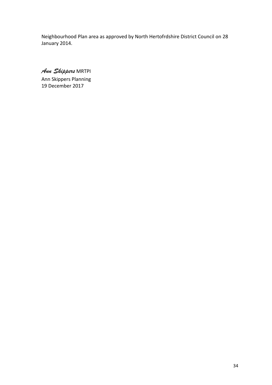Neighbourhood Plan area as approved by North Hertofrdshire District Council on 28 January 2014.

*Ann Skippers* MRTPI Ann Skippers Planning 19 December 2017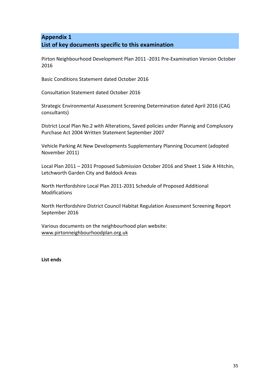# **Appendix 1** List of key documents specific to this examination

Pirton Neighbourhood Development Plan 2011 -2031 Pre-Examination Version October 2016

Basic Conditions Statement dated October 2016

Consultation Statement dated October 2016

Strategic Environmental Assessment Screening Determination dated April 2016 (CAG consultants)

District Local Plan No.2 with Alterations, Saved policies under Plannig and Complusory Purchase Act 2004 Written Statement September 2007

Vehicle Parking At New Developments Supplementary Planning Document (adopted November 2011)

Local Plan 2011 - 2031 Proposed Submission October 2016 and Sheet 1 Side A Hitchin, Letchworth Garden City and Baldock Areas

North Hertfordshire Local Plan 2011-2031 Schedule of Proposed Additional Modifications

North Hertfordshire District Council Habitat Regulation Assessment Screening Report September 2016

Various documents on the neighbourhood plan website: www.pirtonneighbourhoodplan.org.uk

**List ends**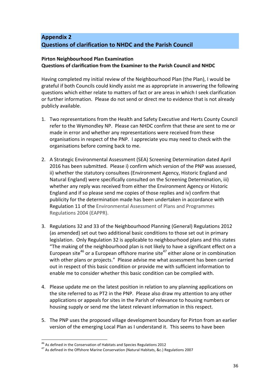# **Appendix 2 Questions of clarification to NHDC and the Parish Council**

# **Pirton Neighbourhood Plan Examination Questions of clarification from the Examiner to the Parish Council and NHDC**

Having completed my initial review of the Neighbourhood Plan (the Plan), I would be grateful if both Councils could kindly assist me as appropriate in answering the following questions which either relate to matters of fact or are areas in which I seek clarification or further information. Please do not send or direct me to evidence that is not already publicly available.

- 1. Two representations from the Health and Safety Executive and Herts County Council refer to the Wymondley NP. Please can NHDC confirm that these are sent to me or made in error and whether any representations were received from these organisations in respect of the PNP. I appreciate you may need to check with the organisations before coming back to me.
- 2. A Strategic Environmental Assessment (SEA) Screening Determination dated April 2016 has been submitted. Please i) confirm which version of the PNP was assessed, ii) whether the statutory consultees (Environment Agency, Historic England and Natural England) were specifically consulted on the Screening Determination, iii) whether any reply was received from either the Environment Agency or Historic England and if so please send me copies of those replies and iv) confirm that publicity for the determination made has been undertaken in accordance with Regulation 11 of the Environmental Assessment of Plans and Programmes Regulations 2004 (EAPPR).
- 3. Regulations 32 and 33 of the Neighbourhood Planning (General) Regulations 2012 (as amended) set out two additional basic conditions to those set out in primary legislation. Only Regulation 32 is applicable to neighbourhood plans and this states "The making of the neighbourhood plan is not likely to have a significant effect on a European site<sup>46</sup> or a European offshore marine site<sup>47</sup> either alone or in combination with other plans or projects." Please advise me what assessment has been carried out in respect of this basic condition or provide me with sufficient information to enable me to consider whether this basic condition can be complied with.
- 4. Please update me on the latest position in relation to any planning applications on the site referred to as PT2 in the PNP. Please also draw my attention to any other applications or appeals for sites in the Parish of relevance to housing numbers or housing supply or send me the latest relevant information in this respect.
- 5. The PNP uses the proposed village development boundary for Pirton from an earlier version of the emerging Local Plan as I understand it. This seems to have been

<sup>&</sup>lt;sup>46</sup> As defined in the Conservation of Habitats and Species Regulations 2012<br><sup>47</sup> As defined in the Offshore Marine Conservation (Natural Habitats, &c.) Regulations 2007